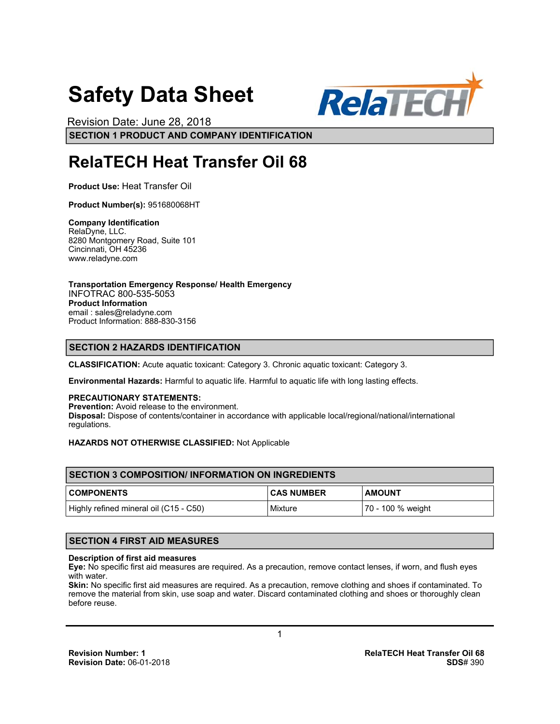# **Safety Data Sheet**



**SECTION 1 PRODUCT AND COMPANY IDENTIFICATION** Revision Date: June 28, 2018

# **RelaTECH Heat Transfer Oil 68**

**Product Use:** Heat Transfer Oil

**Product Number(s):** 951680068HT

**Company Identification**  RelaDyne, LLC. 8280 Montgomery Road, Suite 101 Cincinnati, OH 45236 www.reladyne.com

**Transportation Emergency Response/ Health Emergency**  INFOTRAC 800-535-5053 **Product Information**  email : sales@reladyne.com Product Information: 888-830-3156

# **SECTION 2 HAZARDS IDENTIFICATION**

**CLASSIFICATION:** Acute aquatic toxicant: Category 3. Chronic aquatic toxicant: Category 3.

**Environmental Hazards:** Harmful to aquatic life. Harmful to aquatic life with long lasting effects.

# **PRECAUTIONARY STATEMENTS:**

**Prevention:** Avoid release to the environment. **Disposal:** Dispose of contents/container in accordance with applicable local/regional/national/international regulations.

# **HAZARDS NOT OTHERWISE CLASSIFIED:** Not Applicable

| <b>ISECTION 3 COMPOSITION/INFORMATION ON INGREDIENTS</b> |                   |                   |  |
|----------------------------------------------------------|-------------------|-------------------|--|
| <b>COMPONENTS</b>                                        | <b>CAS NUMBER</b> | <b>AMOUNT</b>     |  |
| Highly refined mineral oil (C15 - C50)                   | Mixture           | 70 - 100 % weight |  |

# **SECTION 4 FIRST AID MEASURES**

# **Description of first aid measures**

**Eye:** No specific first aid measures are required. As a precaution, remove contact lenses, if worn, and flush eyes with water.

**Skin:** No specific first aid measures are required. As a precaution, remove clothing and shoes if contaminated. To remove the material from skin, use soap and water. Discard contaminated clothing and shoes or thoroughly clean before reuse.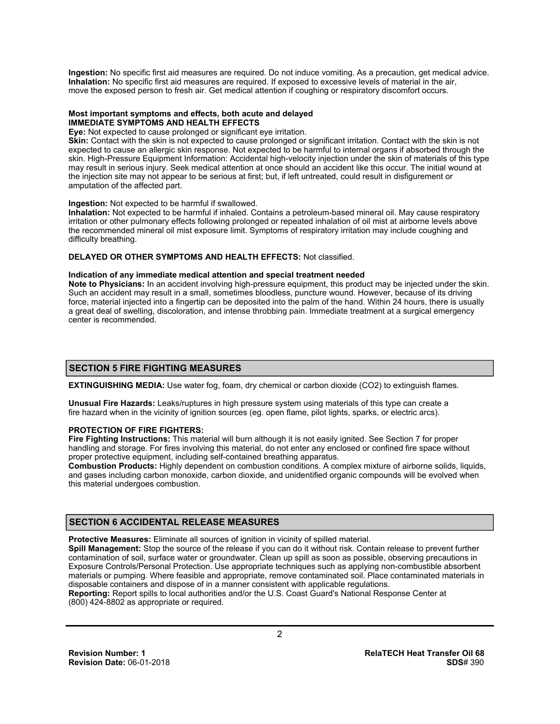**Ingestion:** No specific first aid measures are required. Do not induce vomiting. As a precaution, get medical advice. **Inhalation:** No specific first aid measures are required. If exposed to excessive levels of material in the air, move the exposed person to fresh air. Get medical attention if coughing or respiratory discomfort occurs.

#### **Most important symptoms and effects, both acute and delayed IMMEDIATE SYMPTOMS AND HEALTH EFFECTS**

**Eye:** Not expected to cause prolonged or significant eye irritation.

**Skin:** Contact with the skin is not expected to cause prolonged or significant irritation. Contact with the skin is not expected to cause an allergic skin response. Not expected to be harmful to internal organs if absorbed through the skin. High-Pressure Equipment Information: Accidental high-velocity injection under the skin of materials of this type may result in serious injury. Seek medical attention at once should an accident like this occur. The initial wound at the injection site may not appear to be serious at first; but, if left untreated, could result in disfigurement or amputation of the affected part.

#### **Ingestion:** Not expected to be harmful if swallowed.

**Inhalation:** Not expected to be harmful if inhaled. Contains a petroleum-based mineral oil. May cause respiratory irritation or other pulmonary effects following prolonged or repeated inhalation of oil mist at airborne levels above the recommended mineral oil mist exposure limit. Symptoms of respiratory irritation may include coughing and difficulty breathing.

#### **DELAYED OR OTHER SYMPTOMS AND HEALTH EFFECTS:** Not classified.

#### **Indication of any immediate medical attention and special treatment needed**

**Note to Physicians:** In an accident involving high-pressure equipment, this product may be injected under the skin. Such an accident may result in a small, sometimes bloodless, puncture wound. However, because of its driving force, material injected into a fingertip can be deposited into the palm of the hand. Within 24 hours, there is usually a great deal of swelling, discoloration, and intense throbbing pain. Immediate treatment at a surgical emergency center is recommended.

# **SECTION 5 FIRE FIGHTING MEASURES**

**EXTINGUISHING MEDIA:** Use water fog, foam, dry chemical or carbon dioxide (CO2) to extinguish flames.

**Unusual Fire Hazards:** Leaks/ruptures in high pressure system using materials of this type can create a fire hazard when in the vicinity of ignition sources (eg. open flame, pilot lights, sparks, or electric arcs).

# **PROTECTION OF FIRE FIGHTERS:**

**Fire Fighting Instructions:** This material will burn although it is not easily ignited. See Section 7 for proper handling and storage. For fires involving this material, do not enter any enclosed or confined fire space without proper protective equipment, including self-contained breathing apparatus.

**Combustion Products:** Highly dependent on combustion conditions. A complex mixture of airborne solids, liquids, and gases including carbon monoxide, carbon dioxide, and unidentified organic compounds will be evolved when this material undergoes combustion.

# **SECTION 6 ACCIDENTAL RELEASE MEASURES**

**Protective Measures:** Eliminate all sources of ignition in vicinity of spilled material.

**Spill Management:** Stop the source of the release if you can do it without risk. Contain release to prevent further contamination of soil, surface water or groundwater. Clean up spill as soon as possible, observing precautions in Exposure Controls/Personal Protection. Use appropriate techniques such as applying non-combustible absorbent materials or pumping. Where feasible and appropriate, remove contaminated soil. Place contaminated materials in disposable containers and dispose of in a manner consistent with applicable regulations. **Reporting:** Report spills to local authorities and/or the U.S. Coast Guard's National Response Center at

(800) 424-8802 as appropriate or required.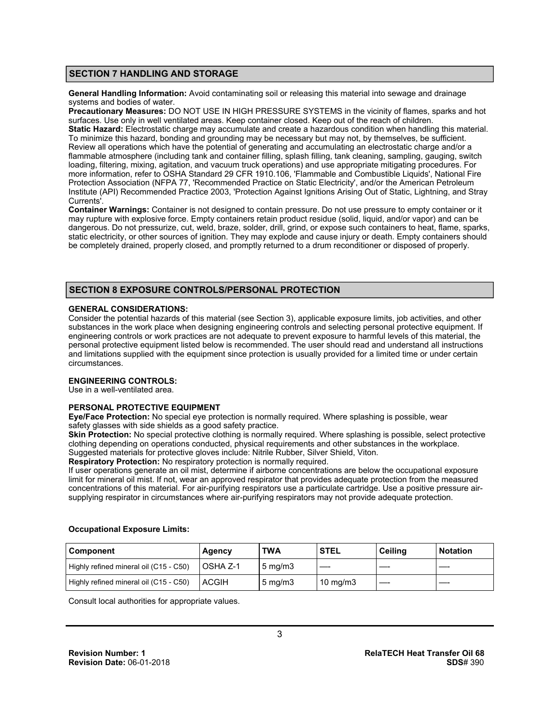# **SECTION 7 HANDLING AND STORAGE**

**General Handling Information:** Avoid contaminating soil or releasing this material into sewage and drainage systems and bodies of water.

**Precautionary Measures:** DO NOT USE IN HIGH PRESSURE SYSTEMS in the vicinity of flames, sparks and hot surfaces. Use only in well ventilated areas. Keep container closed. Keep out of the reach of children. **Static Hazard:** Electrostatic charge may accumulate and create a hazardous condition when handling this material. To minimize this hazard, bonding and grounding may be necessary but may not, by themselves, be sufficient. Review all operations which have the potential of generating and accumulating an electrostatic charge and/or a flammable atmosphere (including tank and container filling, splash filling, tank cleaning, sampling, gauging, switch loading, filtering, mixing, agitation, and vacuum truck operations) and use appropriate mitigating procedures. For more information, refer to OSHA Standard 29 CFR 1910.106, 'Flammable and Combustible Liquids', National Fire Protection Association (NFPA 77, 'Recommended Practice on Static Electricity', and/or the American Petroleum Institute (API) Recommended Practice 2003, 'Protection Against Ignitions Arising Out of Static, Lightning, and Stray Currents'.

**Container Warnings:** Container is not designed to contain pressure. Do not use pressure to empty container or it may rupture with explosive force. Empty containers retain product residue (solid, liquid, and/or vapor) and can be dangerous. Do not pressurize, cut, weld, braze, solder, drill, grind, or expose such containers to heat, flame, sparks, static electricity, or other sources of ignition. They may explode and cause injury or death. Empty containers should be completely drained, properly closed, and promptly returned to a drum reconditioner or disposed of properly.

# **SECTION 8 EXPOSURE CONTROLS/PERSONAL PROTECTION**

#### **GENERAL CONSIDERATIONS:**

Consider the potential hazards of this material (see Section 3), applicable exposure limits, job activities, and other substances in the work place when designing engineering controls and selecting personal protective equipment. If engineering controls or work practices are not adequate to prevent exposure to harmful levels of this material, the personal protective equipment listed below is recommended. The user should read and understand all instructions and limitations supplied with the equipment since protection is usually provided for a limited time or under certain circumstances.

#### **ENGINEERING CONTROLS:**

Use in a well-ventilated area.

# **PERSONAL PROTECTIVE EQUIPMENT**

**Eye/Face Protection:** No special eye protection is normally required. Where splashing is possible, wear safety glasses with side shields as a good safety practice.

**Skin Protection:** No special protective clothing is normally required. Where splashing is possible, select protective clothing depending on operations conducted, physical requirements and other substances in the workplace.

Suggested materials for protective gloves include: Nitrile Rubber, Silver Shield, Viton. **Respiratory Protection:** No respiratory protection is normally required.

If user operations generate an oil mist, determine if airborne concentrations are below the occupational exposure limit for mineral oil mist. If not, wear an approved respirator that provides adequate protection from the measured concentrations of this material. For air-purifying respirators use a particulate cartridge. Use a positive pressure airsupplying respirator in circumstances where air-purifying respirators may not provide adequate protection.

| <b>Component</b>                       | Agency           | <b>TWA</b>          | <b>STEL</b>       | Ceilina | l Notation |
|----------------------------------------|------------------|---------------------|-------------------|---------|------------|
| Highly refined mineral oil (C15 - C50) | <b>LOSHA Z-1</b> | $5 \text{ mg/m}$    |                   |         |            |
| Highly refined mineral oil (C15 - C50) | <b>ACGIH</b>     | $5 \,\mathrm{mg/m}$ | $10 \text{ mg/m}$ |         |            |

#### **Occupational Exposure Limits:**

Consult local authorities for appropriate values.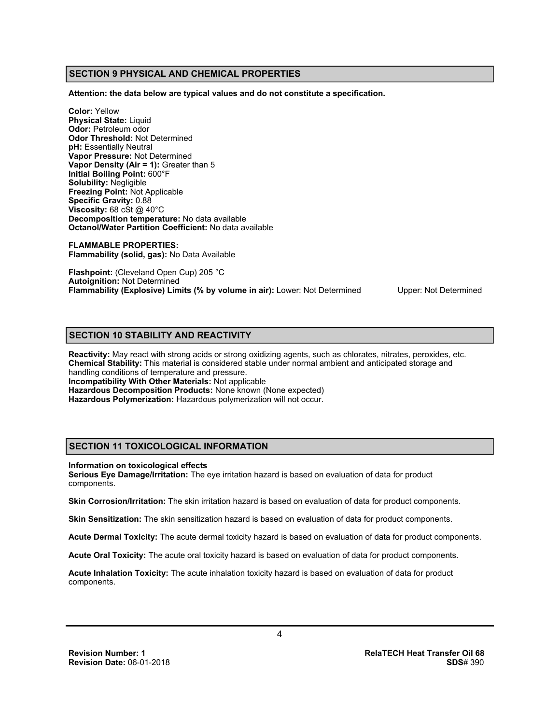# **SECTION 9 PHYSICAL AND CHEMICAL PROPERTIES**

**Attention: the data below are typical values and do not constitute a specification.** 

**Color:** Yellow **Physical State:** Liquid **Odor:** Petroleum odor **Odor Threshold:** Not Determined **pH:** Essentially Neutral **Vapor Pressure:** Not Determined **Vapor Density (Air = 1):** Greater than 5 **Initial Boiling Point:** 600°F **Solubility:** Negligible **Freezing Point:** Not Applicable **Specific Gravity:** 0.88 **Viscosity: 68 cSt @ 40°C Decomposition temperature:** No data available **Octanol/Water Partition Coefficient:** No data available

**FLAMMABLE PROPERTIES: Flammability (solid, gas):** No Data Available

**Flashpoint:** (Cleveland Open Cup) 205 °C **Autoignition:** Not Determined **Flammability (Explosive) Limits (% by volume in air):** Lower: Not Determined Upper: Not Determined

# **SECTION 10 STABILITY AND REACTIVITY**

**Reactivity:** May react with strong acids or strong oxidizing agents, such as chlorates, nitrates, peroxides, etc. **Chemical Stability:** This material is considered stable under normal ambient and anticipated storage and handling conditions of temperature and pressure. **Incompatibility With Other Materials:** Not applicable **Hazardous Decomposition Products:** None known (None expected) **Hazardous Polymerization:** Hazardous polymerization will not occur.

# **SECTION 11 TOXICOLOGICAL INFORMATION**

**Information on toxicological effects** 

**Serious Eye Damage/Irritation:** The eye irritation hazard is based on evaluation of data for product components.

**Skin Corrosion/Irritation:** The skin irritation hazard is based on evaluation of data for product components.

**Skin Sensitization:** The skin sensitization hazard is based on evaluation of data for product components.

**Acute Dermal Toxicity:** The acute dermal toxicity hazard is based on evaluation of data for product components.

**Acute Oral Toxicity:** The acute oral toxicity hazard is based on evaluation of data for product components.

**Acute Inhalation Toxicity:** The acute inhalation toxicity hazard is based on evaluation of data for product components.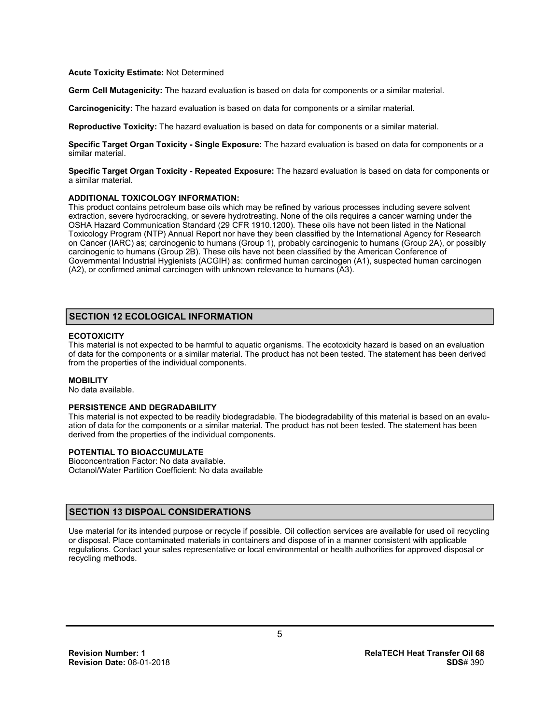#### **Acute Toxicity Estimate:** Not Determined

**Germ Cell Mutagenicity:** The hazard evaluation is based on data for components or a similar material.

**Carcinogenicity:** The hazard evaluation is based on data for components or a similar material.

**Reproductive Toxicity:** The hazard evaluation is based on data for components or a similar material.

**Specific Target Organ Toxicity - Single Exposure:** The hazard evaluation is based on data for components or a similar material.

**Specific Target Organ Toxicity - Repeated Exposure:** The hazard evaluation is based on data for components or a similar material.

#### **ADDITIONAL TOXICOLOGY INFORMATION:**

This product contains petroleum base oils which may be refined by various processes including severe solvent extraction, severe hydrocracking, or severe hydrotreating. None of the oils requires a cancer warning under the OSHA Hazard Communication Standard (29 CFR 1910.1200). These oils have not been listed in the National Toxicology Program (NTP) Annual Report nor have they been classified by the International Agency for Research on Cancer (IARC) as; carcinogenic to humans (Group 1), probably carcinogenic to humans (Group 2A), or possibly carcinogenic to humans (Group 2B). These oils have not been classified by the American Conference of Governmental Industrial Hygienists (ACGIH) as: confirmed human carcinogen (A1), suspected human carcinogen (A2), or confirmed animal carcinogen with unknown relevance to humans (A3).

# **SECTION 12 ECOLOGICAL INFORMATION**

# **ECOTOXICITY**

This material is not expected to be harmful to aquatic organisms. The ecotoxicity hazard is based on an evaluation of data for the components or a similar material. The product has not been tested. The statement has been derived from the properties of the individual components.

#### **MOBILITY**

No data available.

# **PERSISTENCE AND DEGRADABILITY**

This material is not expected to be readily biodegradable. The biodegradability of this material is based on an evaluation of data for the components or a similar material. The product has not been tested. The statement has been derived from the properties of the individual components.

#### **POTENTIAL TO BIOACCUMULATE**

Bioconcentration Factor: No data available. Octanol/Water Partition Coefficient: No data available

# **SECTION 13 DISPOAL CONSIDERATIONS**

Use material for its intended purpose or recycle if possible. Oil collection services are available for used oil recycling or disposal. Place contaminated materials in containers and dispose of in a manner consistent with applicable regulations. Contact your sales representative or local environmental or health authorities for approved disposal or recycling methods.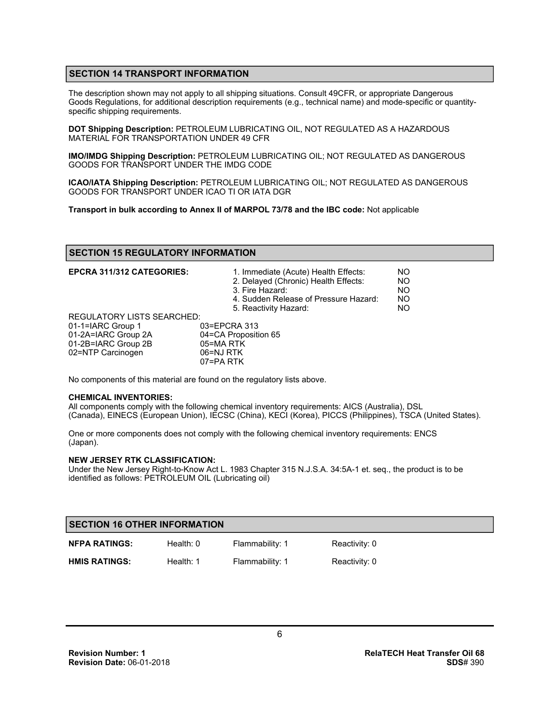# **SECTION 14 TRANSPORT INFORMATION**

The description shown may not apply to all shipping situations. Consult 49CFR, or appropriate Dangerous Goods Regulations, for additional description requirements (e.g., technical name) and mode-specific or quantityspecific shipping requirements.

**DOT Shipping Description:** PETROLEUM LUBRICATING OIL, NOT REGULATED AS A HAZARDOUS MATERIAL FOR TRANSPORTATION UNDER 49 CFR

**IMO/IMDG Shipping Description:** PETROLEUM LUBRICATING OIL; NOT REGULATED AS DANGEROUS GOODS FOR TRANSPORT UNDER THE IMDG CODE

**ICAO/IATA Shipping Description:** PETROLEUM LUBRICATING OIL; NOT REGULATED AS DANGEROUS GOODS FOR TRANSPORT UNDER ICAO TI OR IATA DGR

**Transport in bulk according to Annex II of MARPOL 73/78 and the IBC code:** Not applicable

# **SECTION 15 REGULATORY INFORMATION**

| <b>EPCRA 311/312 CATEGORIES:</b>  | 1. Immediate (Acute) Health Effects:<br>2. Delayed (Chronic) Health Effects:<br>3. Fire Hazard:<br>4. Sudden Release of Pressure Hazard:<br>5. Reactivity Hazard: | NO.<br><b>NO</b><br>NO.<br>NO.<br>NO. |
|-----------------------------------|-------------------------------------------------------------------------------------------------------------------------------------------------------------------|---------------------------------------|
| <b>REGULATORY LISTS SEARCHED:</b> |                                                                                                                                                                   |                                       |
| 01-1=IARC Group 1                 | 03=EPCRA 313                                                                                                                                                      |                                       |
| 01-2A=IARC Group 2A               | 04=CA Proposition 65                                                                                                                                              |                                       |
| 01-2B=IARC Group 2B               | 05=MA RTK                                                                                                                                                         |                                       |
| 02=NTP Carcinogen                 | 06=NJ RTK                                                                                                                                                         |                                       |
|                                   | 07=PARTK                                                                                                                                                          |                                       |

No components of this material are found on the regulatory lists above.

# **CHEMICAL INVENTORIES:**

All components comply with the following chemical inventory requirements: AICS (Australia), DSL (Canada), EINECS (European Union), IECSC (China), KECI (Korea), PICCS (Philippines), TSCA (United States).

One or more components does not comply with the following chemical inventory requirements: ENCS (Japan).

# **NEW JERSEY RTK CLASSIFICATION:**

Under the New Jersey Right-to-Know Act L. 1983 Chapter 315 N.J.S.A. 34:5A-1 et. seq., the product is to be identified as follows: PETROLEUM OIL (Lubricating oil)

| <b>SECTION 16 OTHER INFORMATION</b> |             |                 |               |
|-------------------------------------|-------------|-----------------|---------------|
| <b>NFPA RATINGS:</b>                | Health: $0$ | Flammability: 1 | Reactivity: 0 |
| <b>HMIS RATINGS:</b>                | Health: 1   | Flammability: 1 | Reactivity: 0 |